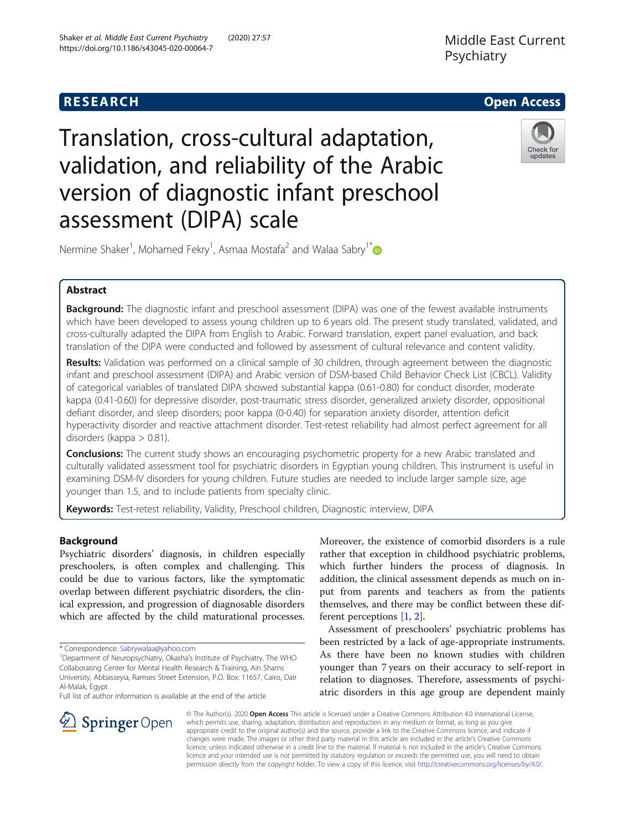

# Translation, cross-cultural adaptation, validation, and reliability of the Arabic version of diagnostic infant preschool assessment (DIPA) scale



Nermine Shaker<sup>1</sup>, Mohamed Fekry<sup>1</sup>, Asmaa Mostafa<sup>2</sup> and Walaa Sabry<sup>1[\\*](http://orcid.org/0000-0002-7361-5941)</sup>

# Abstract

**Background:** The diagnostic infant and preschool assessment (DIPA) was one of the fewest available instruments which have been developed to assess young children up to 6 years old. The present study translated, validated, and cross-culturally adapted the DIPA from English to Arabic. Forward translation, expert panel evaluation, and back translation of the DIPA were conducted and followed by assessment of cultural relevance and content validity.

Results: Validation was performed on a clinical sample of 30 children, through agreement between the diagnostic infant and preschool assessment (DIPA) and Arabic version of DSM-based Child Behavior Check List (CBCL). Validity of categorical variables of translated DIPA showed substantial kappa (0.61-0.80) for conduct disorder, moderate kappa (0.41-0.60) for depressive disorder, post-traumatic stress disorder, generalized anxiety disorder, oppositional defiant disorder, and sleep disorders; poor kappa (0-0.40) for separation anxiety disorder, attention deficit hyperactivity disorder and reactive attachment disorder. Test-retest reliability had almost perfect agreement for all disorders (kappa > 0.81).

**Conclusions:** The current study shows an encouraging psychometric property for a new Arabic translated and culturally validated assessment tool for psychiatric disorders in Egyptian young children. This instrument is useful in examining DSM-IV disorders for young children. Future studies are needed to include larger sample size, age younger than 1.5, and to include patients from specialty clinic.

Keywords: Test-retest reliability, Validity, Preschool children, Diagnostic interview, DIPA

# Background

Psychiatric disorders' diagnosis, in children especially preschoolers, is often complex and challenging. This could be due to various factors, like the symptomatic overlap between different psychiatric disorders, the clinical expression, and progression of diagnosable disorders which are affected by the child maturational processes.

\* Correspondence: [Sabrywalaa@yahoo.com](mailto:Sabrywalaa@yahoo.com) <sup>1</sup>

Full list of author information is available at the end of the article

Moreover, the existence of comorbid disorders is a rule rather that exception in childhood psychiatric problems, which further hinders the process of diagnosis. In addition, the clinical assessment depends as much on input from parents and teachers as from the patients themselves, and there may be conflict between these different perceptions [\[1,](#page-6-0) [2\]](#page-6-0).

Assessment of preschoolers' psychiatric problems has been restricted by a lack of age-appropriate instruments. As there have been no known studies with children younger than 7 years on their accuracy to self-report in relation to diagnoses. Therefore, assessments of psychiatric disorders in this age group are dependent mainly

© The Author(s). 2020 Open Access This article is licensed under a Creative Commons Attribution 4.0 International License, which permits use, sharing, adaptation, distribution and reproduction in any medium or format, as long as you give appropriate credit to the original author(s) and the source, provide a link to the Creative Commons licence, and indicate if changes were made. The images or other third party material in this article are included in the article's Creative Commons licence, unless indicated otherwise in a credit line to the material. If material is not included in the article's Creative Commons licence and your intended use is not permitted by statutory regulation or exceeds the permitted use, you will need to obtain permission directly from the copyright holder. To view a copy of this licence, visit <http://creativecommons.org/licenses/by/4.0/>.



<sup>&</sup>lt;sup>1</sup>Department of Neuropsychiatry, Okasha's Institute of Psychiatry, The WHO Collaborating Center for Mental Health Research & Training, Ain Shams University, Abbasseyia, Ramses Street Extension, P.O. Box: 11657, Cairo, Dair Al-Malak, Egypt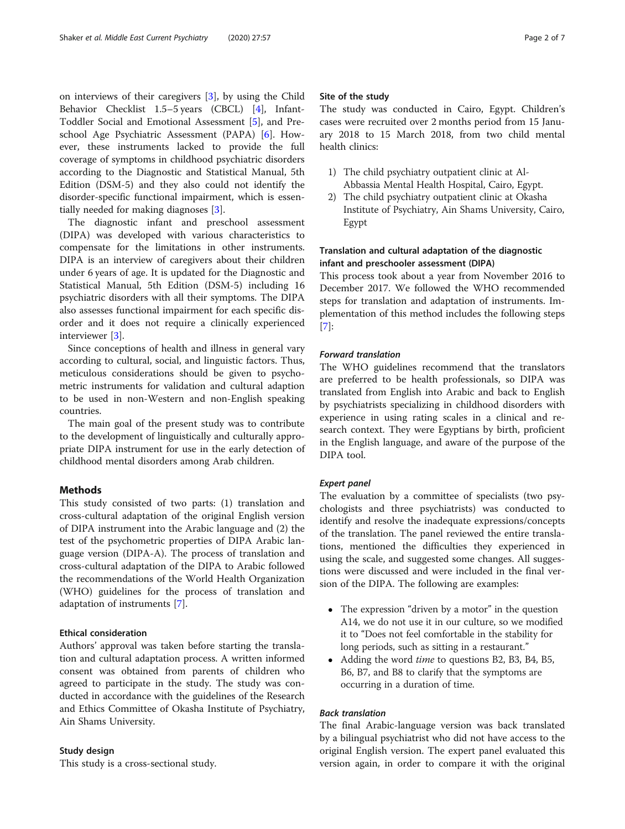on interviews of their caregivers [\[3](#page-6-0)], by using the Child Behavior Checklist 1.5–5 years (CBCL) [[4\]](#page-6-0), Infant-Toddler Social and Emotional Assessment [\[5](#page-6-0)], and Preschool Age Psychiatric Assessment (PAPA) [[6\]](#page-6-0). However, these instruments lacked to provide the full coverage of symptoms in childhood psychiatric disorders according to the Diagnostic and Statistical Manual, 5th Edition (DSM-5) and they also could not identify the disorder-specific functional impairment, which is essentially needed for making diagnoses [\[3](#page-6-0)].

The diagnostic infant and preschool assessment (DIPA) was developed with various characteristics to compensate for the limitations in other instruments. DIPA is an interview of caregivers about their children under 6 years of age. It is updated for the Diagnostic and Statistical Manual, 5th Edition (DSM-5) including 16 psychiatric disorders with all their symptoms. The DIPA also assesses functional impairment for each specific disorder and it does not require a clinically experienced interviewer [\[3](#page-6-0)].

Since conceptions of health and illness in general vary according to cultural, social, and linguistic factors. Thus, meticulous considerations should be given to psychometric instruments for validation and cultural adaption to be used in non-Western and non-English speaking countries.

The main goal of the present study was to contribute to the development of linguistically and culturally appropriate DIPA instrument for use in the early detection of childhood mental disorders among Arab children.

# Methods

This study consisted of two parts: (1) translation and cross-cultural adaptation of the original English version of DIPA instrument into the Arabic language and (2) the test of the psychometric properties of DIPA Arabic language version (DIPA-A). The process of translation and cross-cultural adaptation of the DIPA to Arabic followed the recommendations of the World Health Organization (WHO) guidelines for the process of translation and adaptation of instruments [[7](#page-6-0)].

# Ethical consideration

Authors' approval was taken before starting the translation and cultural adaptation process. A written informed consent was obtained from parents of children who agreed to participate in the study. The study was conducted in accordance with the guidelines of the Research and Ethics Committee of Okasha Institute of Psychiatry, Ain Shams University.

# Study design

This study is a cross-sectional study.

# Site of the study

The study was conducted in Cairo, Egypt. Children's cases were recruited over 2 months period from 15 January 2018 to 15 March 2018, from two child mental health clinics:

- 1) The child psychiatry outpatient clinic at Al-Abbassia Mental Health Hospital, Cairo, Egypt.
- 2) The child psychiatry outpatient clinic at Okasha Institute of Psychiatry, Ain Shams University, Cairo, Egypt

# Translation and cultural adaptation of the diagnostic infant and preschooler assessment (DIPA)

This process took about a year from November 2016 to December 2017. We followed the WHO recommended steps for translation and adaptation of instruments. Implementation of this method includes the following steps [[7\]](#page-6-0):

# Forward translation

The WHO guidelines recommend that the translators are preferred to be health professionals, so DIPA was translated from English into Arabic and back to English by psychiatrists specializing in childhood disorders with experience in using rating scales in a clinical and research context. They were Egyptians by birth, proficient in the English language, and aware of the purpose of the DIPA tool.

# Expert panel

The evaluation by a committee of specialists (two psychologists and three psychiatrists) was conducted to identify and resolve the inadequate expressions/concepts of the translation. The panel reviewed the entire translations, mentioned the difficulties they experienced in using the scale, and suggested some changes. All suggestions were discussed and were included in the final version of the DIPA. The following are examples:

- The expression "driven by a motor" in the question A14, we do not use it in our culture, so we modified it to "Does not feel comfortable in the stability for long periods, such as sitting in a restaurant."
- Adding the word *time* to questions B2, B3, B4, B5, B6, B7, and B8 to clarify that the symptoms are occurring in a duration of time.

# Back translation

The final Arabic-language version was back translated by a bilingual psychiatrist who did not have access to the original English version. The expert panel evaluated this version again, in order to compare it with the original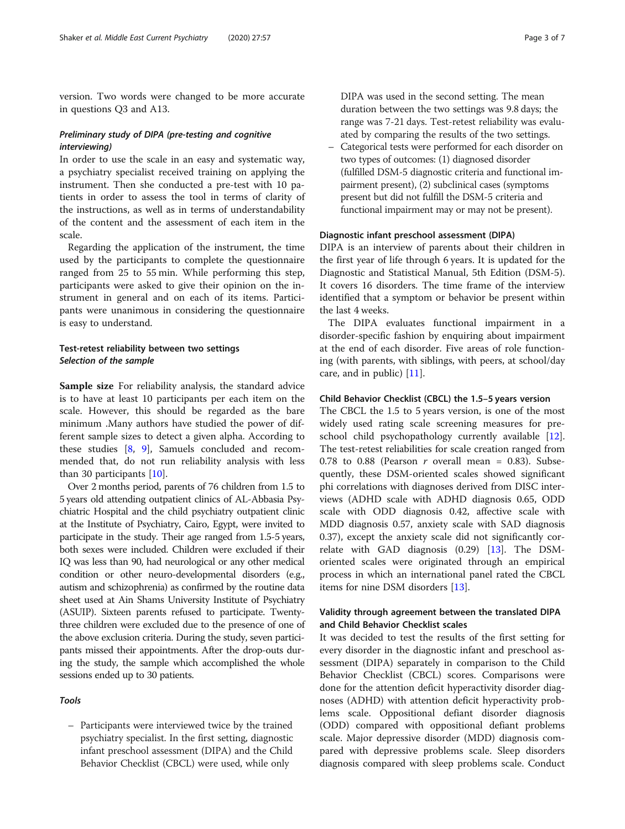version. Two words were changed to be more accurate in questions Q3 and A13.

# Preliminary study of DIPA (pre-testing and cognitive interviewing)

In order to use the scale in an easy and systematic way, a psychiatry specialist received training on applying the instrument. Then she conducted a pre-test with 10 patients in order to assess the tool in terms of clarity of the instructions, as well as in terms of understandability of the content and the assessment of each item in the scale.

Regarding the application of the instrument, the time used by the participants to complete the questionnaire ranged from 25 to 55 min. While performing this step, participants were asked to give their opinion on the instrument in general and on each of its items. Participants were unanimous in considering the questionnaire is easy to understand.

# Test-retest reliability between two settings Selection of the sample

Sample size For reliability analysis, the standard advice is to have at least 10 participants per each item on the scale. However, this should be regarded as the bare minimum .Many authors have studied the power of different sample sizes to detect a given alpha. According to these studies [[8,](#page-6-0) [9\]](#page-6-0), Samuels concluded and recommended that, do not run reliability analysis with less than 30 participants [[10\]](#page-6-0).

Over 2 months period, parents of 76 children from 1.5 to 5 years old attending outpatient clinics of AL-Abbasia Psychiatric Hospital and the child psychiatry outpatient clinic at the Institute of Psychiatry, Cairo, Egypt, were invited to participate in the study. Their age ranged from 1.5-5 years, both sexes were included. Children were excluded if their IQ was less than 90, had neurological or any other medical condition or other neuro-developmental disorders (e.g., autism and schizophrenia) as confirmed by the routine data sheet used at Ain Shams University Institute of Psychiatry (ASUIP). Sixteen parents refused to participate. Twentythree children were excluded due to the presence of one of the above exclusion criteria. During the study, seven participants missed their appointments. After the drop-outs during the study, the sample which accomplished the whole sessions ended up to 30 patients.

# Tools

– Participants were interviewed twice by the trained psychiatry specialist. In the first setting, diagnostic infant preschool assessment (DIPA) and the Child Behavior Checklist (CBCL) were used, while only

DIPA was used in the second setting. The mean duration between the two settings was 9.8 days; the range was 7-21 days. Test-retest reliability was evaluated by comparing the results of the two settings.

– Categorical tests were performed for each disorder on two types of outcomes: (1) diagnosed disorder (fulfilled DSM-5 diagnostic criteria and functional impairment present), (2) subclinical cases (symptoms present but did not fulfill the DSM-5 criteria and functional impairment may or may not be present).

#### Diagnostic infant preschool assessment (DIPA)

DIPA is an interview of parents about their children in the first year of life through 6 years. It is updated for the Diagnostic and Statistical Manual, 5th Edition (DSM-5). It covers 16 disorders. The time frame of the interview identified that a symptom or behavior be present within the last 4 weeks.

The DIPA evaluates functional impairment in a disorder-specific fashion by enquiring about impairment at the end of each disorder. Five areas of role functioning (with parents, with siblings, with peers, at school/day care, and in public) [[11\]](#page-6-0).

#### Child Behavior Checklist (CBCL) the 1.5–5 years version

The CBCL the 1.5 to 5 years version, is one of the most widely used rating scale screening measures for preschool child psychopathology currently available [\[12](#page-6-0)]. The test-retest reliabilities for scale creation ranged from 0.78 to 0.88 (Pearson r overall mean = 0.83). Subsequently, these DSM-oriented scales showed significant phi correlations with diagnoses derived from DISC interviews (ADHD scale with ADHD diagnosis 0.65, ODD scale with ODD diagnosis 0.42, affective scale with MDD diagnosis 0.57, anxiety scale with SAD diagnosis 0.37), except the anxiety scale did not significantly correlate with GAD diagnosis (0.29) [[13](#page-6-0)]. The DSMoriented scales were originated through an empirical process in which an international panel rated the CBCL items for nine DSM disorders [[13\]](#page-6-0).

# Validity through agreement between the translated DIPA and Child Behavior Checklist scales

It was decided to test the results of the first setting for every disorder in the diagnostic infant and preschool assessment (DIPA) separately in comparison to the Child Behavior Checklist (CBCL) scores. Comparisons were done for the attention deficit hyperactivity disorder diagnoses (ADHD) with attention deficit hyperactivity problems scale. Oppositional defiant disorder diagnosis (ODD) compared with oppositional defiant problems scale. Major depressive disorder (MDD) diagnosis compared with depressive problems scale. Sleep disorders diagnosis compared with sleep problems scale. Conduct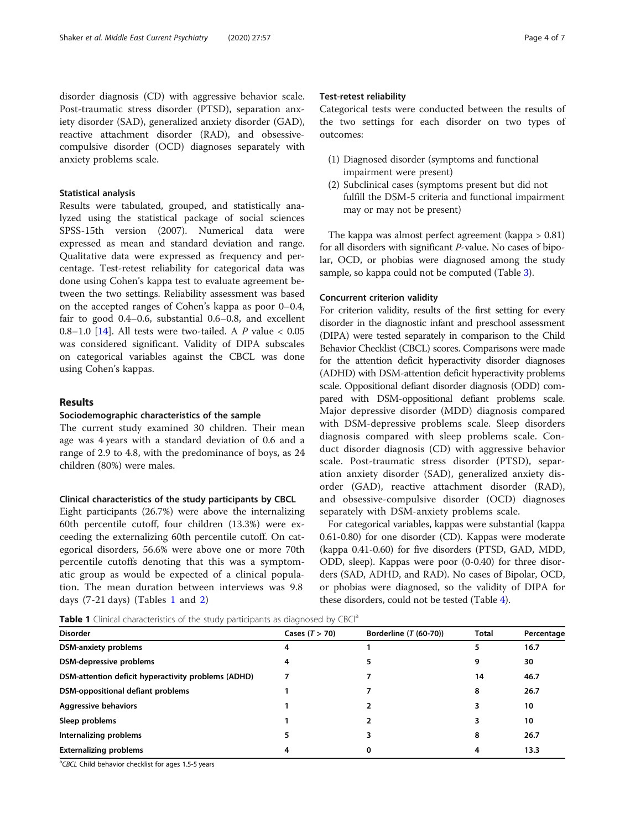disorder diagnosis (CD) with aggressive behavior scale. Post-traumatic stress disorder (PTSD), separation anxiety disorder (SAD), generalized anxiety disorder (GAD), reactive attachment disorder (RAD), and obsessivecompulsive disorder (OCD) diagnoses separately with anxiety problems scale.

# Statistical analysis

Results were tabulated, grouped, and statistically analyzed using the statistical package of social sciences SPSS-15th version (2007). Numerical data were expressed as mean and standard deviation and range. Qualitative data were expressed as frequency and percentage. Test-retest reliability for categorical data was done using Cohen's kappa test to evaluate agreement between the two settings. Reliability assessment was based on the accepted ranges of Cohen's kappa as poor 0–0.4, fair to good 0.4–0.6, substantial 0.6–0.8, and excellent 0.8–1.0 [\[14](#page-6-0)]. All tests were two-tailed. A  $P$  value < 0.05 was considered significant. Validity of DIPA subscales on categorical variables against the CBCL was done using Cohen's kappas.

# Results

# Sociodemographic characteristics of the sample

The current study examined 30 children. Their mean age was 4 years with a standard deviation of 0.6 and a range of 2.9 to 4.8, with the predominance of boys, as 24 children (80%) were males.

#### Clinical characteristics of the study participants by CBCL

Eight participants (26.7%) were above the internalizing 60th percentile cutoff, four children (13.3%) were exceeding the externalizing 60th percentile cutoff. On categorical disorders, 56.6% were above one or more 70th percentile cutoffs denoting that this was a symptomatic group as would be expected of a clinical population. The mean duration between interviews was 9.8 days (7-21 days) (Tables 1 and [2\)](#page-4-0)

# Test-retest reliability

Categorical tests were conducted between the results of the two settings for each disorder on two types of outcomes:

- (1) Diagnosed disorder (symptoms and functional impairment were present)
- (2) Subclinical cases (symptoms present but did not fulfill the DSM-5 criteria and functional impairment may or may not be present)

The kappa was almost perfect agreement (kappa > 0.81) for all disorders with significant P-value. No cases of bipolar, OCD, or phobias were diagnosed among the study sample, so kappa could not be computed (Table [3\)](#page-4-0).

#### Concurrent criterion validity

For criterion validity, results of the first setting for every disorder in the diagnostic infant and preschool assessment (DIPA) were tested separately in comparison to the Child Behavior Checklist (CBCL) scores. Comparisons were made for the attention deficit hyperactivity disorder diagnoses (ADHD) with DSM-attention deficit hyperactivity problems scale. Oppositional defiant disorder diagnosis (ODD) compared with DSM-oppositional defiant problems scale. Major depressive disorder (MDD) diagnosis compared with DSM-depressive problems scale. Sleep disorders diagnosis compared with sleep problems scale. Conduct disorder diagnosis (CD) with aggressive behavior scale. Post-traumatic stress disorder (PTSD), separation anxiety disorder (SAD), generalized anxiety disorder (GAD), reactive attachment disorder (RAD), and obsessive-compulsive disorder (OCD) diagnoses separately with DSM-anxiety problems scale.

For categorical variables, kappas were substantial (kappa 0.61-0.80) for one disorder (CD). Kappas were moderate (kappa 0.41-0.60) for five disorders (PTSD, GAD, MDD, ODD, sleep). Kappas were poor (0-0.40) for three disorders (SAD, ADHD, and RAD). No cases of Bipolar, OCD, or phobias were diagnosed, so the validity of DIPA for these disorders, could not be tested (Table [4](#page-4-0)).

Table 1 Clinical characteristics of the study participants as diagnosed by CBCl<sup>a</sup>

| <b>Disorder</b>                                     | Cases $(T > 70)$ | Borderline (T (60-70)) | <b>Total</b> | Percentage |
|-----------------------------------------------------|------------------|------------------------|--------------|------------|
| <b>DSM-anxiety problems</b>                         | 4                |                        | 5            | 16.7       |
| DSM-depressive problems                             | 4                |                        | 9            | 30         |
| DSM-attention deficit hyperactivity problems (ADHD) |                  |                        | 14           | 46.7       |
| DSM-oppositional defiant problems                   |                  |                        | 8            | 26.7       |
| <b>Aggressive behaviors</b>                         |                  |                        | 3            | 10         |
| Sleep problems                                      |                  |                        | 3            | 10         |
| Internalizing problems                              |                  |                        | 8            | 26.7       |
| <b>Externalizing problems</b>                       | 4                | 0                      | 4            | 13.3       |

<sup>a</sup>CBCL Child behavior checklist for ages 1.5-5 years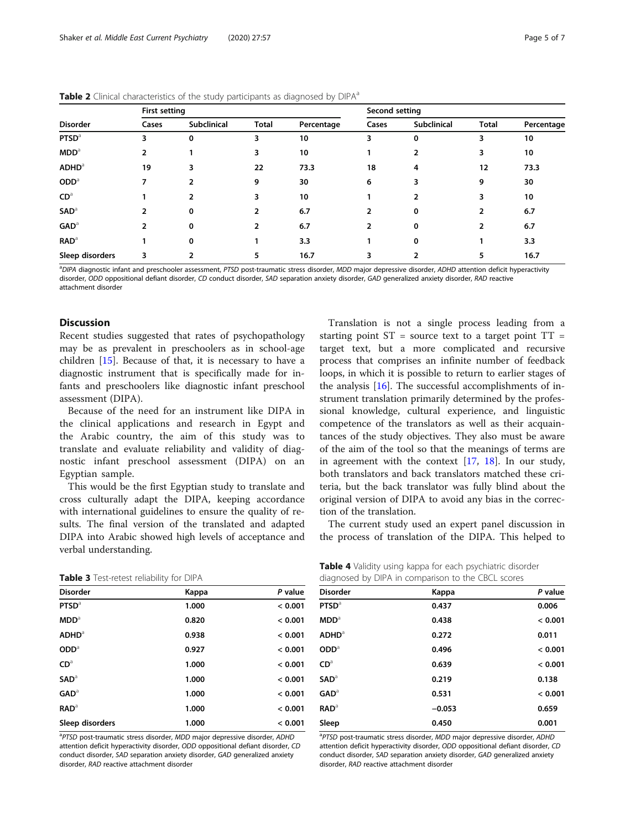|                          | $\overline{\phantom{a}}$<br>$\tilde{\phantom{a}}$<br>$\overline{\phantom{a}}$<br><b>First setting</b> |                    |              |            | Second setting |                    |              |            |
|--------------------------|-------------------------------------------------------------------------------------------------------|--------------------|--------------|------------|----------------|--------------------|--------------|------------|
| <b>Disorder</b>          | Cases                                                                                                 | <b>Subclinical</b> | <b>Total</b> | Percentage | Cases          | <b>Subclinical</b> | <b>Total</b> | Percentage |
| <b>PTSD</b> <sup>a</sup> | 3                                                                                                     | 0                  | 3            | 10         | 3              | 0                  | 3            | 10         |
| MDD <sup>a</sup>         | 2                                                                                                     |                    | 3            | 10         |                | $\overline{2}$     | 3            | 10         |
| <b>ADHD</b> <sup>a</sup> | 19                                                                                                    | 3                  | 22           | 73.3       | 18             | 4                  | 12           | 73.3       |
| $ODD^a$                  | ⇁                                                                                                     |                    | 9            | 30         | 6              | 3                  | 9            | 30         |
| $CD^a$                   |                                                                                                       | $\overline{2}$     | 3            | 10         |                | $\overline{2}$     | 3            | 10         |
| <b>SAD</b> <sup>a</sup>  | $\overline{2}$                                                                                        | 0                  | 2            | 6.7        | 2              | 0                  | 2            | 6.7        |
| GAD <sup>a</sup>         | 2                                                                                                     | 0                  | 2            | 6.7        |                | 0                  | 2            | 6.7        |
| <b>RAD</b> <sup>a</sup>  |                                                                                                       | 0                  |              | 3.3        |                | 0                  |              | 3.3        |
| Sleep disorders          | 3                                                                                                     |                    | 5            | 16.7       |                |                    | 5            | 16.7       |

<span id="page-4-0"></span>Table 2 Clinical characteristics of the study participants as diagnosed by DIPA<sup>a</sup>

<sup>a</sup>DIPA diagnostic infant and preschooler assessment, PTSD post-traumatic stress disorder, MDD major depressive disorder, ADHD attention deficit hyperactivity disorder, ODD oppositional defiant disorder, CD conduct disorder, SAD separation anxiety disorder, GAD generalized anxiety disorder, RAD reactive attachment disorder

### **Discussion**

Recent studies suggested that rates of psychopathology may be as prevalent in preschoolers as in school-age children [[15](#page-6-0)]. Because of that, it is necessary to have a diagnostic instrument that is specifically made for infants and preschoolers like diagnostic infant preschool assessment (DIPA).

Because of the need for an instrument like DIPA in the clinical applications and research in Egypt and the Arabic country, the aim of this study was to translate and evaluate reliability and validity of diagnostic infant preschool assessment (DIPA) on an Egyptian sample.

This would be the first Egyptian study to translate and cross culturally adapt the DIPA, keeping accordance with international guidelines to ensure the quality of results. The final version of the translated and adapted DIPA into Arabic showed high levels of acceptance and verbal understanding.

|  | Table 3 Test-retest reliability for DIPA |  |  |
|--|------------------------------------------|--|--|

| <b>Disorder</b>          | Kappa | P value |
|--------------------------|-------|---------|
| <b>PTSD</b> <sup>a</sup> | 1.000 | < 0.001 |
| MDD <sup>a</sup>         | 0.820 | < 0.001 |
| ADHD <sup>3</sup>        | 0.938 | < 0.001 |
| OD <sub>a</sub>          | 0.927 | < 0.001 |
| CD <sup>a</sup>          | 1.000 | < 0.001 |
| SAD <sup>a</sup>         | 1.000 | < 0.001 |
| GAD <sup>a</sup>         | 1.000 | < 0.001 |
| RAD <sup>a</sup>         | 1.000 | < 0.001 |
| Sleep disorders          | 1.000 | < 0.001 |

<sup>a</sup>PTSD post-traumatic stress disorder, MDD major depressive disorder, ADHD attention deficit hyperactivity disorder, ODD oppositional defiant disorder, CD conduct disorder, SAD separation anxiety disorder, GAD generalized anxiety disorder, RAD reactive attachment disorder

Translation is not a single process leading from a starting point  $ST =$  source text to a target point  $TT =$ target text, but a more complicated and recursive process that comprises an infinite number of feedback loops, in which it is possible to return to earlier stages of the analysis  $[16]$  $[16]$ . The successful accomplishments of instrument translation primarily determined by the professional knowledge, cultural experience, and linguistic competence of the translators as well as their acquaintances of the study objectives. They also must be aware of the aim of the tool so that the meanings of terms are in agreement with the context [[17,](#page-6-0) [18\]](#page-6-0). In our study, both translators and back translators matched these criteria, but the back translator was fully blind about the original version of DIPA to avoid any bias in the correction of the translation.

The current study used an expert panel discussion in the process of translation of the DIPA. This helped to

| Table 4 Validity using kappa for each psychiatric disorder |  |  |
|------------------------------------------------------------|--|--|
| diagnosed by DIPA in comparison to the CBCL scores         |  |  |

| alagricularly birth in companion to the cock scores |          |         |  |  |  |
|-----------------------------------------------------|----------|---------|--|--|--|
| <b>Disorder</b>                                     | Kappa    | P value |  |  |  |
| <b>PTSD</b> <sup>a</sup>                            | 0.437    | 0.006   |  |  |  |
| MDD <sup>3</sup>                                    | 0.438    | < 0.001 |  |  |  |
| <b>ADHD</b> <sup>a</sup>                            | 0.272    | 0.011   |  |  |  |
| ODD <sup>a</sup>                                    | 0.496    | < 0.001 |  |  |  |
| $CD^a$                                              | 0.639    | < 0.001 |  |  |  |
| <b>SAD</b> <sup>a</sup>                             | 0.219    | 0.138   |  |  |  |
| $GAD$ <sup>a</sup>                                  | 0.531    | < 0.001 |  |  |  |
| $\mathbf{RAD}^a$                                    | $-0.053$ | 0.659   |  |  |  |
| Sleep                                               | 0.450    | 0.001   |  |  |  |
|                                                     |          |         |  |  |  |

<sup>a</sup>PTSD post-traumatic stress disorder, MDD major depressive disorder, ADHD attention deficit hyperactivity disorder, ODD oppositional defiant disorder, CD conduct disorder, SAD separation anxiety disorder, GAD generalized anxiety disorder, RAD reactive attachment disorder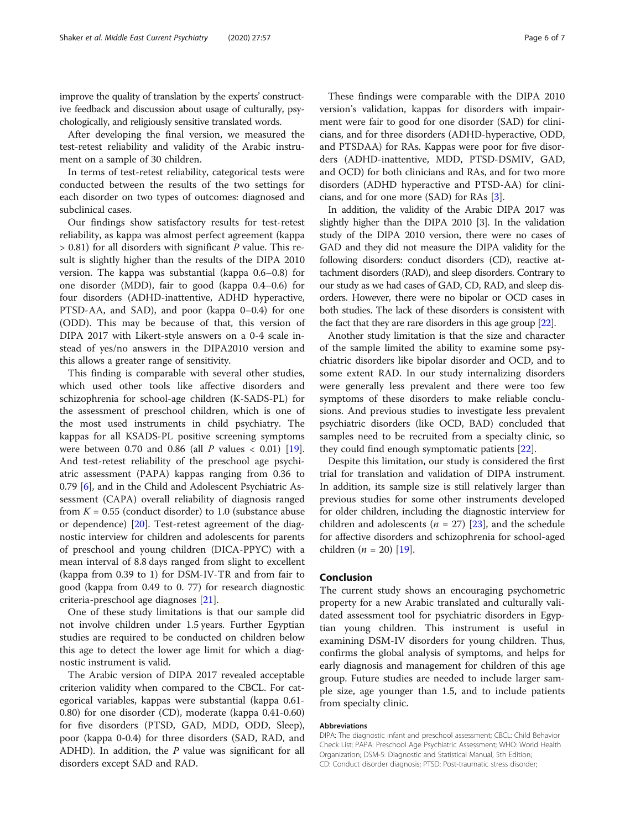improve the quality of translation by the experts' constructive feedback and discussion about usage of culturally, psychologically, and religiously sensitive translated words.

After developing the final version, we measured the test-retest reliability and validity of the Arabic instrument on a sample of 30 children.

In terms of test-retest reliability, categorical tests were conducted between the results of the two settings for each disorder on two types of outcomes: diagnosed and subclinical cases.

Our findings show satisfactory results for test-retest reliability, as kappa was almost perfect agreement (kappa  $> 0.81$ ) for all disorders with significant P value. This result is slightly higher than the results of the DIPA 2010 version. The kappa was substantial (kappa 0.6–0.8) for one disorder (MDD), fair to good (kappa 0.4–0.6) for four disorders (ADHD-inattentive, ADHD hyperactive, PTSD-AA, and SAD), and poor (kappa 0–0.4) for one (ODD). This may be because of that, this version of DIPA 2017 with Likert-style answers on a 0-4 scale instead of yes/no answers in the DIPA2010 version and this allows a greater range of sensitivity.

This finding is comparable with several other studies, which used other tools like affective disorders and schizophrenia for school-age children (K-SADS-PL) for the assessment of preschool children, which is one of the most used instruments in child psychiatry. The kappas for all KSADS-PL positive screening symptoms were between 0.70 and 0.86 (all  $P$  values < 0.01) [\[19](#page-6-0)]. And test-retest reliability of the preschool age psychiatric assessment (PAPA) kappas ranging from 0.36 to 0.79 [[6\]](#page-6-0), and in the Child and Adolescent Psychiatric Assessment (CAPA) overall reliability of diagnosis ranged from  $K = 0.55$  (conduct disorder) to 1.0 (substance abuse or dependence) [[20\]](#page-6-0). Test-retest agreement of the diagnostic interview for children and adolescents for parents of preschool and young children (DICA-PPYC) with a mean interval of 8.8 days ranged from slight to excellent (kappa from 0.39 to 1) for DSM-IV-TR and from fair to good (kappa from 0.49 to 0. 77) for research diagnostic criteria-preschool age diagnoses [[21](#page-6-0)].

One of these study limitations is that our sample did not involve children under 1.5 years. Further Egyptian studies are required to be conducted on children below this age to detect the lower age limit for which a diagnostic instrument is valid.

The Arabic version of DIPA 2017 revealed acceptable criterion validity when compared to the CBCL. For categorical variables, kappas were substantial (kappa 0.61- 0.80) for one disorder (CD), moderate (kappa 0.41-0.60) for five disorders (PTSD, GAD, MDD, ODD, Sleep), poor (kappa 0-0.4) for three disorders (SAD, RAD, and ADHD). In addition, the  $P$  value was significant for all disorders except SAD and RAD.

These findings were comparable with the DIPA 2010 version's validation, kappas for disorders with impairment were fair to good for one disorder (SAD) for clinicians, and for three disorders (ADHD-hyperactive, ODD, and PTSDAA) for RAs. Kappas were poor for five disorders (ADHD-inattentive, MDD, PTSD-DSMIV, GAD, and OCD) for both clinicians and RAs, and for two more disorders (ADHD hyperactive and PTSD-AA) for clinicians, and for one more (SAD) for RAs [[3\]](#page-6-0).

In addition, the validity of the Arabic DIPA 2017 was slightly higher than the DIPA 2010 [3]. In the validation study of the DIPA 2010 version, there were no cases of GAD and they did not measure the DIPA validity for the following disorders: conduct disorders (CD), reactive attachment disorders (RAD), and sleep disorders. Contrary to our study as we had cases of GAD, CD, RAD, and sleep disorders. However, there were no bipolar or OCD cases in both studies. The lack of these disorders is consistent with the fact that they are rare disorders in this age group [[22](#page-6-0)].

Another study limitation is that the size and character of the sample limited the ability to examine some psychiatric disorders like bipolar disorder and OCD, and to some extent RAD. In our study internalizing disorders were generally less prevalent and there were too few symptoms of these disorders to make reliable conclusions. And previous studies to investigate less prevalent psychiatric disorders (like OCD, BAD) concluded that samples need to be recruited from a specialty clinic, so they could find enough symptomatic patients [\[22](#page-6-0)].

Despite this limitation, our study is considered the first trial for translation and validation of DIPA instrument. In addition, its sample size is still relatively larger than previous studies for some other instruments developed for older children, including the diagnostic interview for children and adolescents ( $n = 27$ ) [\[23](#page-6-0)], and the schedule for affective disorders and schizophrenia for school-aged children (*n* = 20) [\[19](#page-6-0)].

# Conclusion

The current study shows an encouraging psychometric property for a new Arabic translated and culturally validated assessment tool for psychiatric disorders in Egyptian young children. This instrument is useful in examining DSM-IV disorders for young children. Thus, confirms the global analysis of symptoms, and helps for early diagnosis and management for children of this age group. Future studies are needed to include larger sample size, age younger than 1.5, and to include patients from specialty clinic.

#### Abbreviations

DIPA: The diagnostic infant and preschool assessment; CBCL: Child Behavior Check List; PAPA: Preschool Age Psychiatric Assessment; WHO: World Health Organization; DSM-5: Diagnostic and Statistical Manual, 5th Edition; CD: Conduct disorder diagnosis; PTSD: Post-traumatic stress disorder;